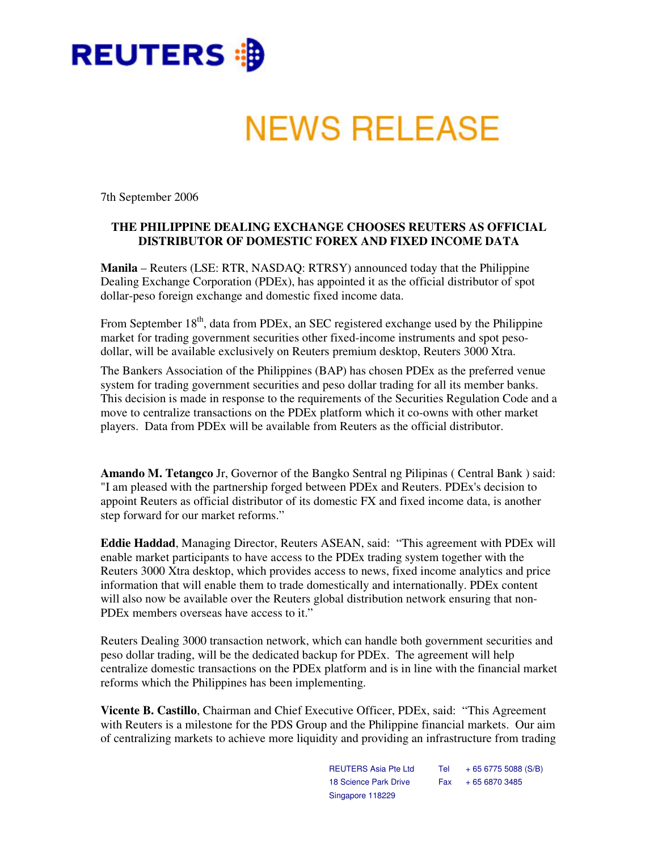

# **NEWS RELEASE**

7th September 2006

## **THE PHILIPPINE DEALING EXCHANGE CHOOSES REUTERS AS OFFICIAL DISTRIBUTOR OF DOMESTIC FOREX AND FIXED INCOME DATA**

**Manila** – Reuters (LSE: RTR, NASDAQ: RTRSY) announced today that the Philippine Dealing Exchange Corporation (PDEx), has appointed it as the official distributor of spot dollar-peso foreign exchange and domestic fixed income data.

From September 18<sup>th</sup>, data from PDEx, an SEC registered exchange used by the Philippine market for trading government securities other fixed-income instruments and spot pesodollar, will be available exclusively on Reuters premium desktop, Reuters 3000 Xtra.

The Bankers Association of the Philippines (BAP) has chosen PDEx as the preferred venue system for trading government securities and peso dollar trading for all its member banks. This decision is made in response to the requirements of the Securities Regulation Code and a move to centralize transactions on the PDEx platform which it co-owns with other market players. Data from PDEx will be available from Reuters as the official distributor.

**Amando M. Tetangco** Jr, Governor of the Bangko Sentral ng Pilipinas ( Central Bank ) said: "I am pleased with the partnership forged between PDEx and Reuters. PDEx's decision to appoint Reuters as official distributor of its domestic FX and fixed income data, is another step forward for our market reforms."

**Eddie Haddad**, Managing Director, Reuters ASEAN, said: "This agreement with PDEx will enable market participants to have access to the PDEx trading system together with the Reuters 3000 Xtra desktop, which provides access to news, fixed income analytics and price information that will enable them to trade domestically and internationally. PDEx content will also now be available over the Reuters global distribution network ensuring that non-PDEx members overseas have access to it."

Reuters Dealing 3000 transaction network, which can handle both government securities and peso dollar trading, will be the dedicated backup for PDEx. The agreement will help centralize domestic transactions on the PDEx platform and is in line with the financial market reforms which the Philippines has been implementing.

**Vicente B. Castillo**, Chairman and Chief Executive Officer, PDEx, said: "This Agreement with Reuters is a milestone for the PDS Group and the Philippine financial markets. Our aim of centralizing markets to achieve more liquidity and providing an infrastructure from trading

> REUTERS Asia Pte Ltd 18 Science Park Drive Singapore 118229 Tel + 65 6775 5088 (S/B) Fax + 65 6870 3485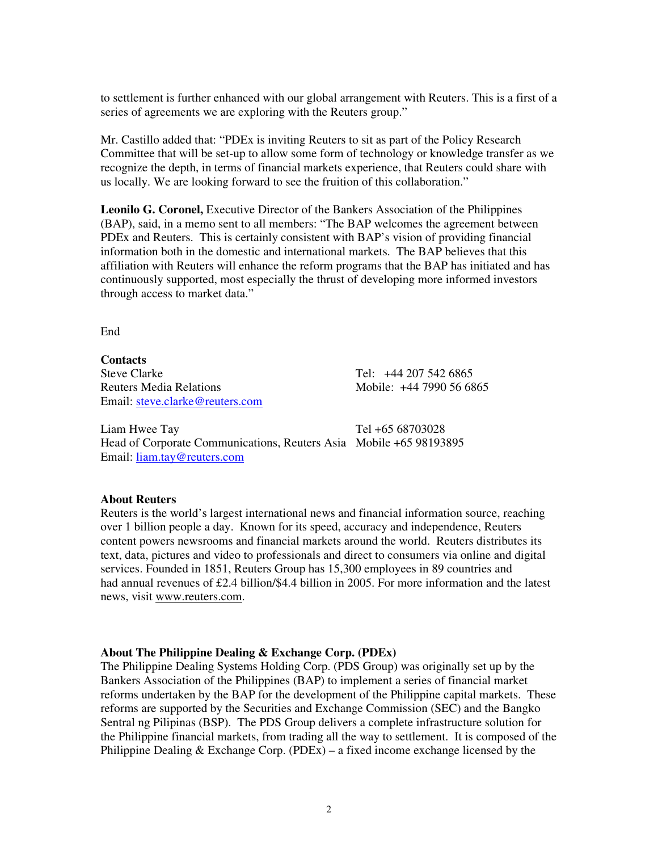to settlement is further enhanced with our global arrangement with Reuters. This is a first of a series of agreements we are exploring with the Reuters group."

Mr. Castillo added that: "PDEx is inviting Reuters to sit as part of the Policy Research Committee that will be set-up to allow some form of technology or knowledge transfer as we recognize the depth, in terms of financial markets experience, that Reuters could share with us locally. We are looking forward to see the fruition of this collaboration."

**Leonilo G. Coronel,** Executive Director of the Bankers Association of the Philippines (BAP), said, in a memo sent to all members: "The BAP welcomes the agreement between PDEx and Reuters. This is certainly consistent with BAP's vision of providing financial information both in the domestic and international markets. The BAP believes that this affiliation with Reuters will enhance the reform programs that the BAP has initiated and has continuously supported, most especially the thrust of developing more informed investors through access to market data."

End

**Contacts** Reuters Media Relations Mobile: +44 7990 56 6865 Email: steve.clarke@reuters.com

Tel: +44 207 542 6865

Liam Hwee Tay Tel +65 68703028 Head of Corporate Communications, Reuters Asia Mobile +65 98193895 Email: liam.tay@reuters.com

## **About Reuters**

Reuters is the world's largest international news and financial information source, reaching over 1 billion people a day. Known for its speed, accuracy and independence, Reuters content powers newsrooms and financial markets around the world. Reuters distributes its text, data, pictures and video to professionals and direct to consumers via online and digital services. Founded in 1851, Reuters Group has 15,300 employees in 89 countries and had annual revenues of £2.4 billion/\$4.4 billion in 2005. For more information and the latest news, visit www.reuters.com.

## **About The Philippine Dealing & Exchange Corp. (PDEx)**

The Philippine Dealing Systems Holding Corp. (PDS Group) was originally set up by the Bankers Association of the Philippines (BAP) to implement a series of financial market reforms undertaken by the BAP for the development of the Philippine capital markets. These reforms are supported by the Securities and Exchange Commission (SEC) and the Bangko Sentral ng Pilipinas (BSP). The PDS Group delivers a complete infrastructure solution for the Philippine financial markets, from trading all the way to settlement. It is composed of the Philippine Dealing  $&$  Exchange Corp. (PDEx) – a fixed income exchange licensed by the